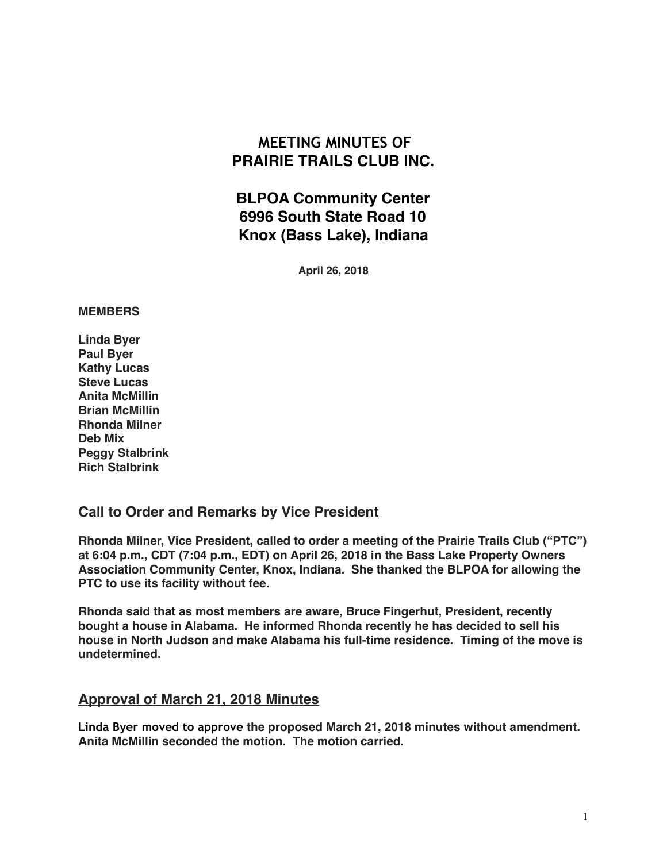# **MEETING MINUTES OF PRAIRIE TRAILS CLUB INC.**

**BLPOA Community Center 6996 South State Road 10 Knox (Bass Lake), Indiana**

**April 26, 2018**

#### **MEMBERS**

**Linda Byer Paul Byer Kathy Lucas Steve Lucas Anita McMillin Brian McMillin Rhonda Milner Deb Mix Peggy Stalbrink Rich Stalbrink**

### **Call to Order and Remarks by Vice President**

**Rhonda Milner, Vice President, called to order a meeting of the Prairie Trails Club ("PTC") at 6:04 p.m., CDT (7:04 p.m., EDT) on April 26, 2018 in the Bass Lake Property Owners Association Community Center, Knox, Indiana. She thanked the BLPOA for allowing the PTC to use its facility without fee.**

**Rhonda said that as most members are aware, Bruce Fingerhut, President, recently bought a house in Alabama. He informed Rhonda recently he has decided to sell his house in North Judson and make Alabama his full-time residence. Timing of the move is undetermined.**

### **Approval of March 21, 2018 Minutes**

**Linda Byer moved to approve the proposed March 21, 2018 minutes without amendment. Anita McMillin seconded the motion. The motion carried.**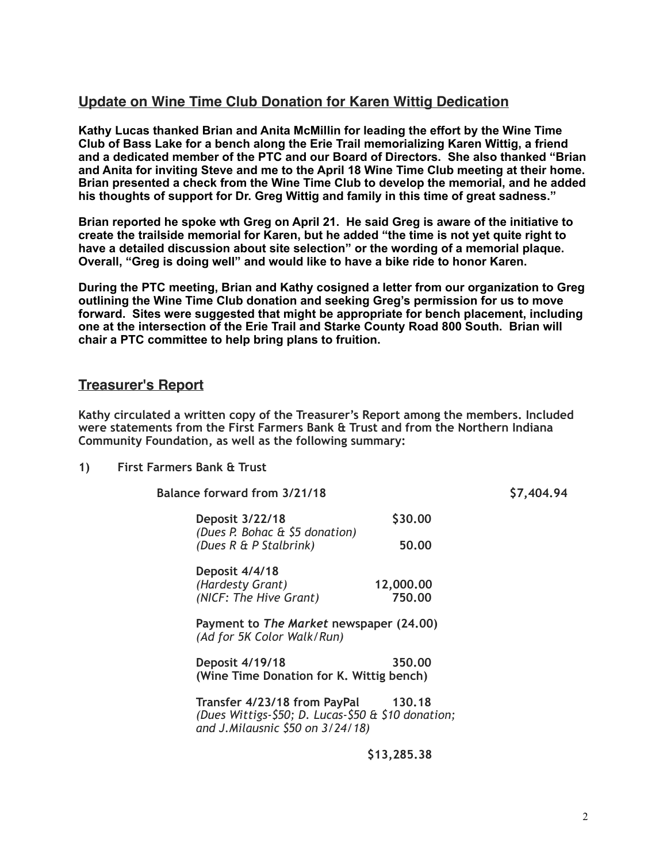## **Update on Wine Time Club Donation for Karen Wittig Dedication**

**Kathy Lucas thanked Brian and Anita McMillin for leading the effort by the Wine Time Club of Bass Lake for a bench along the Erie Trail memorializing Karen Wittig, a friend and a dedicated member of the PTC and our Board of Directors. She also thanked "Brian and Anita for inviting Steve and me to the April 18 Wine Time Club meeting at their home. Brian presented a check from the Wine Time Club to develop the memorial, and he added his thoughts of support for Dr. Greg Wittig and family in this time of great sadness."** 

**Brian reported he spoke wth Greg on April 21. He said Greg is aware of the initiative to create the trailside memorial for Karen, but he added "the time is not yet quite right to have a detailed discussion about site selection" or the wording of a memorial plaque. Overall, "Greg is doing well" and would like to have a bike ride to honor Karen.** 

**During the PTC meeting, Brian and Kathy cosigned a letter from our organization to Greg outlining the Wine Time Club donation and seeking Greg's permission for us to move forward. Sites were suggested that might be appropriate for bench placement, including one at the intersection of the Erie Trail and Starke County Road 800 South. Brian will chair a PTC committee to help bring plans to fruition.**

# **Treasurer's Report**

**Kathy circulated a written copy of the Treasurer's Report among the members. Included were statements from the First Farmers Bank & Trust and from the Northern Indiana Community Foundation, as well as the following summary:** 

### **1) First Farmers Bank & Trust**

| Balance forward from 3/21/18                                          | \$7,404.94          |
|-----------------------------------------------------------------------|---------------------|
| <b>Deposit 3/22/18</b>                                                | \$30,00             |
| (Dues P. Bohac & \$5 donation)<br>(Dues R & P Stalbrink)              | 50.00               |
| Deposit 4/4/18<br>(Hardesty Grant)<br>(NICF: The Hive Grant)          | 12,000.00<br>750.00 |
| Payment to The Market newspaper (24.00)<br>(Ad for 5K Color Walk/Run) |                     |
| <b>Deposit 4/19/18</b><br>(Wine Time Donation for K. Wittig bench)    | 350.00              |
| — <i>( IIAAIIA (</i> A A I <i>IAA IA</i>                              |                     |

 **Transfer 4/23/18 from PayPal 130.18** *(Dues Wittigs-\$50; D. Lucas-\$50 & \$10 donation; and J.Milausnic \$50 on 3/24/18)* 

 **\$13,285.38**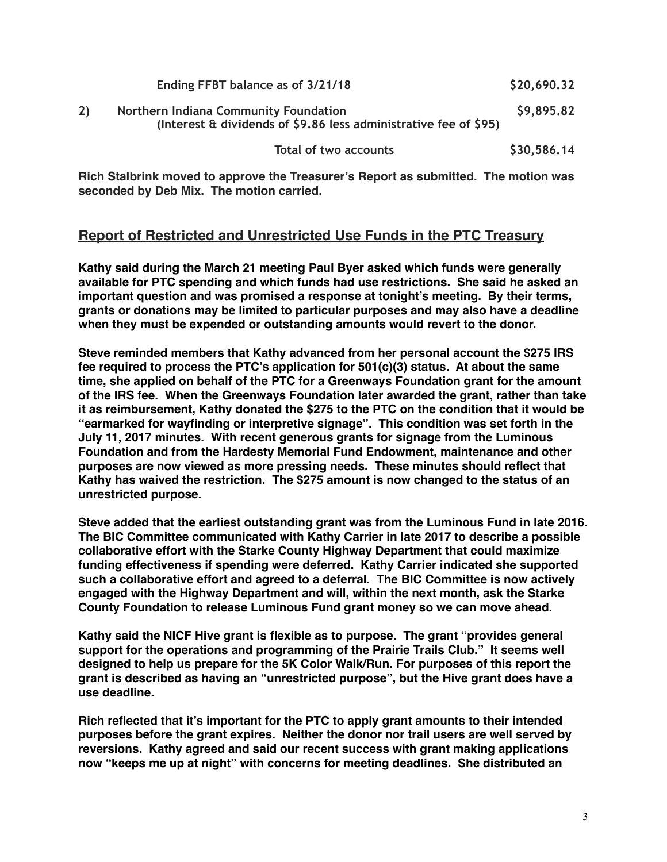| Ending FFBT balance as of 3/21/18                                                                         | \$20,690.32 |
|-----------------------------------------------------------------------------------------------------------|-------------|
| Northern Indiana Community Foundation<br>(Interest & dividends of \$9.86 less administrative fee of \$95) | \$9,895.82  |
| Total of two accounts                                                                                     | \$30,586.14 |

**Rich Stalbrink moved to approve the Treasurer's Report as submitted. The motion was seconded by Deb Mix. The motion carried.**

# **Report of Restricted and Unrestricted Use Funds in the PTC Treasury**

**Kathy said during the March 21 meeting Paul Byer asked which funds were generally available for PTC spending and which funds had use restrictions. She said he asked an important question and was promised a response at tonight's meeting. By their terms, grants or donations may be limited to particular purposes and may also have a deadline when they must be expended or outstanding amounts would revert to the donor.**

**Steve reminded members that Kathy advanced from her personal account the \$275 IRS fee required to process the PTC's application for 501(c)(3) status. At about the same time, she applied on behalf of the PTC for a Greenways Foundation grant for the amount of the IRS fee. When the Greenways Foundation later awarded the grant, rather than take it as reimbursement, Kathy donated the \$275 to the PTC on the condition that it would be "earmarked for wayfinding or interpretive signage". This condition was set forth in the July 11, 2017 minutes. With recent generous grants for signage from the Luminous Foundation and from the Hardesty Memorial Fund Endowment, maintenance and other purposes are now viewed as more pressing needs. These minutes should reflect that Kathy has waived the restriction. The \$275 amount is now changed to the status of an unrestricted purpose.**

**Steve added that the earliest outstanding grant was from the Luminous Fund in late 2016. The BIC Committee communicated with Kathy Carrier in late 2017 to describe a possible collaborative effort with the Starke County Highway Department that could maximize funding effectiveness if spending were deferred. Kathy Carrier indicated she supported such a collaborative effort and agreed to a deferral. The BIC Committee is now actively engaged with the Highway Department and will, within the next month, ask the Starke County Foundation to release Luminous Fund grant money so we can move ahead.**

**Kathy said the NICF Hive grant is flexible as to purpose. The grant "provides general support for the operations and programming of the Prairie Trails Club." It seems well designed to help us prepare for the 5K Color Walk/Run. For purposes of this report the grant is described as having an "unrestricted purpose", but the Hive grant does have a use deadline.**

**Rich reflected that it's important for the PTC to apply grant amounts to their intended purposes before the grant expires. Neither the donor nor trail users are well served by reversions. Kathy agreed and said our recent success with grant making applications now "keeps me up at night" with concerns for meeting deadlines. She distributed an**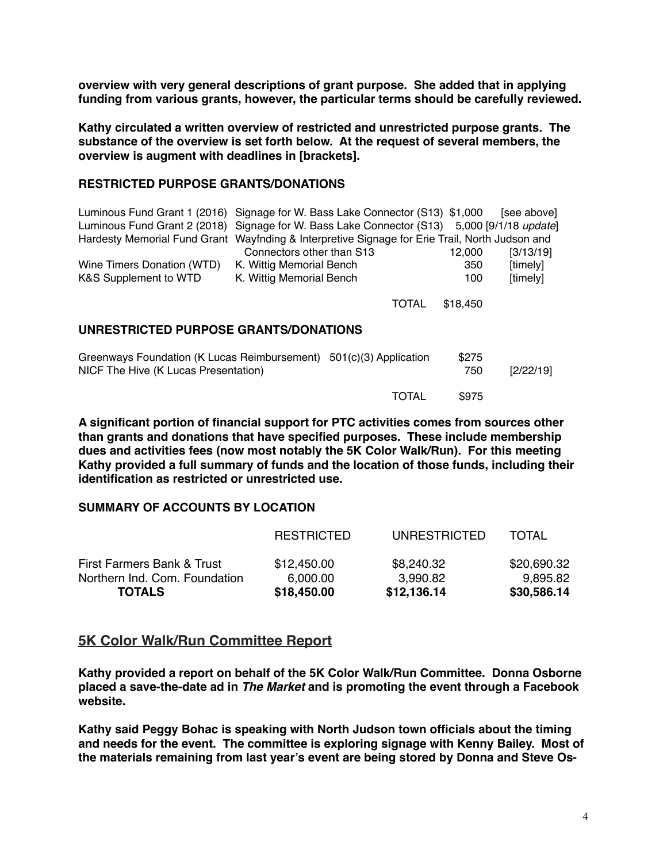**overview with very general descriptions of grant purpose. She added that in applying funding from various grants, however, the particular terms should be carefully reviewed.**

**Kathy circulated a written overview of restricted and unrestricted purpose grants. The substance of the overview is set forth below. At the request of several members, the overview is augment with deadlines in [brackets].**

#### **RESTRICTED PURPOSE GRANTS/DONATIONS**

|                                                                         |                                      |                                                                                   |        | [see above]                                                                                                                                                                                                                                                                                |  |  |  |  |
|-------------------------------------------------------------------------|--------------------------------------|-----------------------------------------------------------------------------------|--------|--------------------------------------------------------------------------------------------------------------------------------------------------------------------------------------------------------------------------------------------------------------------------------------------|--|--|--|--|
|                                                                         |                                      |                                                                                   |        |                                                                                                                                                                                                                                                                                            |  |  |  |  |
|                                                                         |                                      |                                                                                   |        |                                                                                                                                                                                                                                                                                            |  |  |  |  |
|                                                                         |                                      |                                                                                   | 12,000 | [3/13/19]                                                                                                                                                                                                                                                                                  |  |  |  |  |
|                                                                         |                                      |                                                                                   | 350    | [timely]                                                                                                                                                                                                                                                                                   |  |  |  |  |
|                                                                         |                                      |                                                                                   | 100    | [timely]                                                                                                                                                                                                                                                                                   |  |  |  |  |
|                                                                         |                                      |                                                                                   |        |                                                                                                                                                                                                                                                                                            |  |  |  |  |
|                                                                         |                                      |                                                                                   |        |                                                                                                                                                                                                                                                                                            |  |  |  |  |
|                                                                         |                                      |                                                                                   |        |                                                                                                                                                                                                                                                                                            |  |  |  |  |
| UNRESTRICTED PURPOSE GRANTS/DONATIONS                                   |                                      |                                                                                   |        |                                                                                                                                                                                                                                                                                            |  |  |  |  |
|                                                                         |                                      |                                                                                   |        |                                                                                                                                                                                                                                                                                            |  |  |  |  |
| Greenways Foundation (K Lucas Reimbursement)<br>$501(c)(3)$ Application |                                      |                                                                                   | \$275  |                                                                                                                                                                                                                                                                                            |  |  |  |  |
|                                                                         |                                      |                                                                                   | 750    | [2/22/19]                                                                                                                                                                                                                                                                                  |  |  |  |  |
|                                                                         | NICF The Hive (K Lucas Presentation) | Connectors other than S13<br>K. Wittig Memorial Bench<br>K. Wittig Memorial Bench | TOTAL  | Luminous Fund Grant 1 (2016) Signage for W. Bass Lake Connector (S13) \$1,000<br>Luminous Fund Grant 2 (2018) Signage for W. Bass Lake Connector (S13) 5,000 [9/1/18 update]<br>Hardesty Memorial Fund Grant Wayfnding & Interpretive Signage for Erie Trail, North Judson and<br>\$18,450 |  |  |  |  |

**A significant portion of financial support for PTC activities comes from sources other than grants and donations that have specified purposes. These include membership dues and activities fees (now most notably the 5K Color Walk/Run). For this meeting Kathy provided a full summary of funds and the location of those funds, including their identification as restricted or unrestricted use.**

TOTAL \$975

#### **SUMMARY OF ACCOUNTS BY LOCATION**

| <b>TOTALS</b>                 | \$18,450.00       | \$12,136.14  | \$30,586.14  |
|-------------------------------|-------------------|--------------|--------------|
| Northern Ind. Com. Foundation | 6,000.00          | 3,990.82     | 9,895.82     |
| First Farmers Bank & Trust    | \$12,450.00       | \$8,240.32   | \$20,690.32  |
|                               | <b>RESTRICTED</b> | UNRESTRICTED | <b>TOTAL</b> |

### **5K Color Walk/Run Committee Report**

**Kathy provided a report on behalf of the 5K Color Walk/Run Committee. Donna Osborne placed a save-the-date ad in** *The Market* **and is promoting the event through a Facebook website.**

**Kathy said Peggy Bohac is speaking with North Judson town officials about the timing and needs for the event. The committee is exploring signage with Kenny Bailey. Most of the materials remaining from last year's event are being stored by Donna and Steve Os-**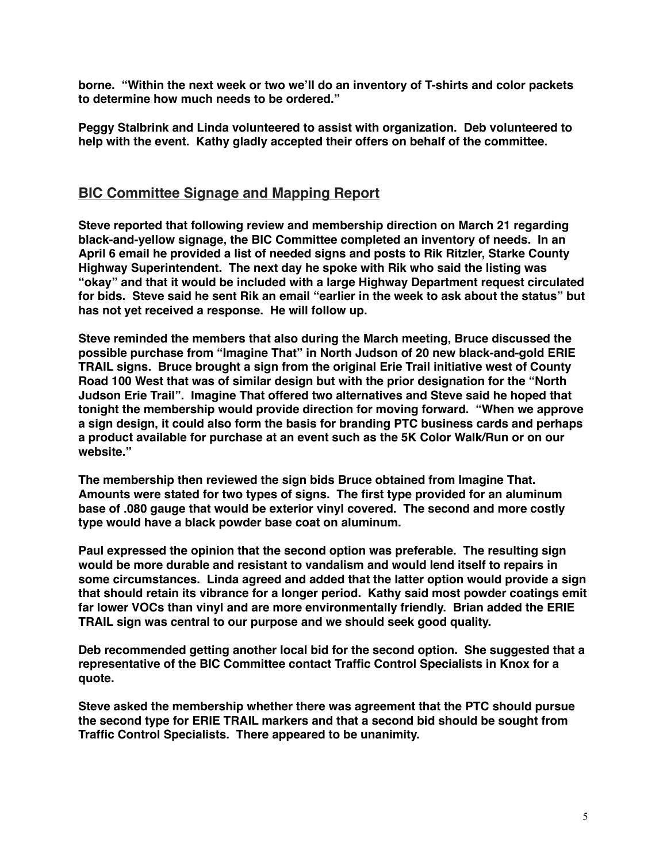**borne. "Within the next week or two we'll do an inventory of T-shirts and color packets to determine how much needs to be ordered."**

**Peggy Stalbrink and Linda volunteered to assist with organization. Deb volunteered to help with the event. Kathy gladly accepted their offers on behalf of the committee.**

## **BIC Committee Signage and Mapping Report**

**Steve reported that following review and membership direction on March 21 regarding black-and-yellow signage, the BIC Committee completed an inventory of needs. In an April 6 email he provided a list of needed signs and posts to Rik Ritzler, Starke County Highway Superintendent. The next day he spoke with Rik who said the listing was "okay" and that it would be included with a large Highway Department request circulated for bids. Steve said he sent Rik an email "earlier in the week to ask about the status" but has not yet received a response. He will follow up.**

**Steve reminded the members that also during the March meeting, Bruce discussed the possible purchase from "Imagine That" in North Judson of 20 new black-and-gold ERIE TRAIL signs. Bruce brought a sign from the original Erie Trail initiative west of County Road 100 West that was of similar design but with the prior designation for the "North Judson Erie Trail". Imagine That offered two alternatives and Steve said he hoped that tonight the membership would provide direction for moving forward. "When we approve a sign design, it could also form the basis for branding PTC business cards and perhaps a product available for purchase at an event such as the 5K Color Walk/Run or on our website."**

**The membership then reviewed the sign bids Bruce obtained from Imagine That. Amounts were stated for two types of signs. The first type provided for an aluminum base of .080 gauge that would be exterior vinyl covered. The second and more costly type would have a black powder base coat on aluminum.**

**Paul expressed the opinion that the second option was preferable. The resulting sign would be more durable and resistant to vandalism and would lend itself to repairs in some circumstances. Linda agreed and added that the latter option would provide a sign that should retain its vibrance for a longer period. Kathy said most powder coatings emit far lower VOCs than vinyl and are more environmentally friendly. Brian added the ERIE TRAIL sign was central to our purpose and we should seek good quality.**

**Deb recommended getting another local bid for the second option. She suggested that a representative of the BIC Committee contact Traffic Control Specialists in Knox for a quote.**

**Steve asked the membership whether there was agreement that the PTC should pursue the second type for ERIE TRAIL markers and that a second bid should be sought from Traffic Control Specialists. There appeared to be unanimity.**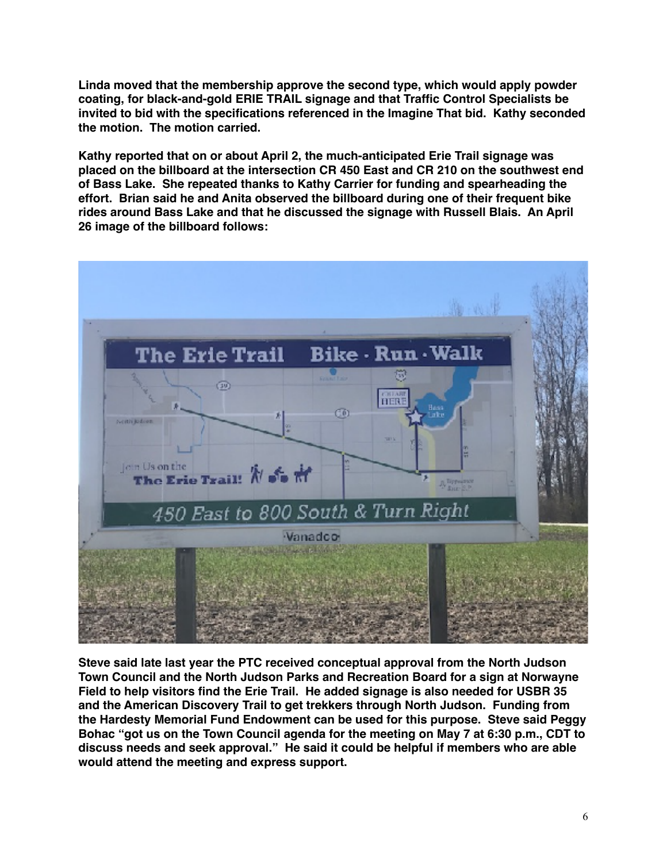**Linda moved that the membership approve the second type, which would apply powder coating, for black-and-gold ERIE TRAIL signage and that Traffic Control Specialists be invited to bid with the specifications referenced in the Imagine That bid. Kathy seconded the motion. The motion carried.**

**Kathy reported that on or about April 2, the much-anticipated Erie Trail signage was placed on the billboard at the intersection CR 450 East and CR 210 on the southwest end of Bass Lake. She repeated thanks to Kathy Carrier for funding and spearheading the effort. Brian said he and Anita observed the billboard during one of their frequent bike rides around Bass Lake and that he discussed the signage with Russell Blais. An April 26 image of the billboard follows:**



**Steve said late last year the PTC received conceptual approval from the North Judson Town Council and the North Judson Parks and Recreation Board for a sign at Norwayne Field to help visitors find the Erie Trail. He added signage is also needed for USBR 35 and the American Discovery Trail to get trekkers through North Judson. Funding from the Hardesty Memorial Fund Endowment can be used for this purpose. Steve said Peggy Bohac "got us on the Town Council agenda for the meeting on May 7 at 6:30 p.m., CDT to discuss needs and seek approval." He said it could be helpful if members who are able would attend the meeting and express support.**